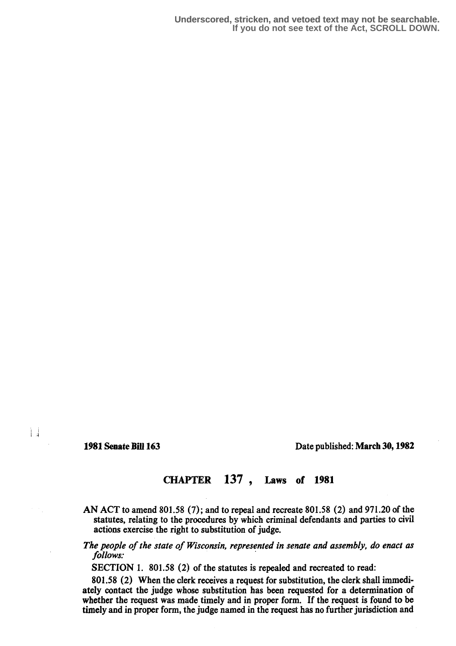Ħ

## 1981 Senate Bill 163 Date published : March 30, 1982

## CHAPTER 137 , Laws of 1981

- AN ACT to amend 801.58 (7) ; and to repeal and recreate 801 .58 (2) and 971 .20 of the statutes, relating to the procedures by which criminal defendants and parties to civil actions exercise the right to substitution of judge.
- The people of the state of Wisconsin, represented in senate and assembly, do enact as follows:

SECTION 1. 801.58 (2) of the statutes is repealed and recreated to read:

801.58 (2) When the clerk receives a request for substitution, the clerk shall immediately contact the judge whose substitution has been requested for a determination of whether the request was made timely and in proper form. If the request is found to be timely and in proper form, the judge named in the request has no further jurisdiction and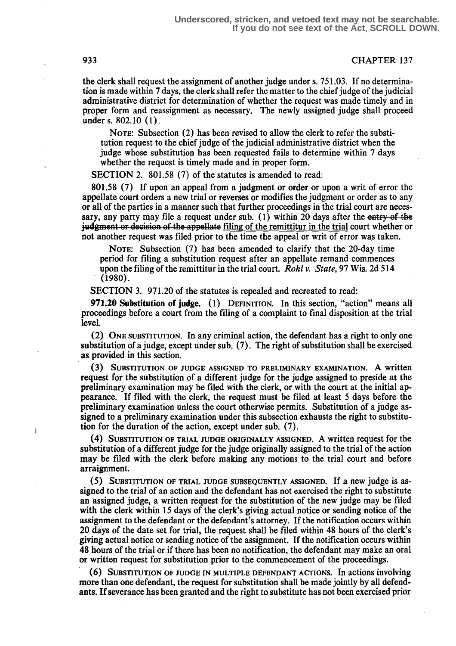## 933 CHAPTER 137

the clerk shall request the assignment of another judge under s. 751.03. If no determination is made within 7 days, the clerk shall refer the matter to the chief judge of the judicial administrative district for determination of whether the request was made timely and in proper form and reassignment as necessary. The newly assigned judge shall proceed under s. 802.10 (1).

NOTE: Subsection (2) has been revised to allow the clerk to refer the substitution request to the chief judge of the judicial administrative district when the judge whose substitution has been requested fails to determine within 7 days whether the request is timely made and in proper form.

SECTION 2. 801.58 (7) of the statutes is amended to read:

801.8 (7) If upon an appeal from a judgment or order or upon a writ of error the appellate court orders a new trial or reverses or modifies the judgment or order as to any or all of the parties in a manner such that further proceedings in the trial court are necessary, any party may file a request under sub.  $(1)$  within 20 days after the entry of the judgment or decision of the appellate filing of the remittitur in the trial court whether or not another request was filed prior to the time the appeal or writ of error was taken.

NOTE: Subsection (7) has been amended to clarify that the 20-day time period for filing a substitution request after an appellate remand commences upon the filing of the remittitur in the trial court. Rohl v. State, 97 Wis. 2d 514  $(1980)$ .

SECTION 3. 971.20 of the statutes is repealed and recreated to read:

**971.20 Substitution of judge.**  $(1)$  DEFINITION. In this section, "action" means all proceedings before a court from the filing of a complaint to final disposition at the trial level.

(2) ONE SUBSTITUTION . In any criminal action, the defendant has a right to only one substitution of a judge, except under sub. (7) . The right of substitution shall be exercised as provided in this section.

(3) SUBSTITUTION OF JUDGE ASSIGNED TO PRELIMINARY EXAMINATION. A written request for the substitution of a different judge for the judge assigned to preside at the preliminary examination may be filed with the clerk, or with the court at the initial appearance. If filed with the clerk, the request must be filed at least 5 days before the preliminary examination unless the court otherwise permits . Substitution of a judge assigned to a preliminary examination under this subsection exhausts the right to substitution for the duration of the action, except under sub. (7) .

SUBSTITUTION OF TRIAL JUDGE ORIGINALLY ASSIGNED. A written request for the substitution of a different judge for the judge originally assigned to the trial of the action may be filed with the clerk before making any motions to the trial court and before arraignment.

SUBSTITUTION OF TRIAL JUDGE SUBSEQUENTLY ASSIGNED. If a new judge is assigned to the trial of an action and the defendant has not exercised the right to substitute an assigned judge, a written request for the substitution of the new judge may be filed with the clerk within 15 days of the clerk's giving actual notice or sending notice of the assignment to the defendant or the defendant's attorney. If the notification occurs within 20 days of the date set for trial, the request shall be filed within 48 hours of the clerk's giving actual notice or sending notice of the assignment. If the notification occurs within 48 hours of the trial or if there has been no notification, the defendant may make an oral or written request for substitution prior to the commencement of the proceedings.

SUBSTITUTION OF JUDGE IN MULTIPLE DEFENDANT ACTIONS. In actions involving more than one defendant, the request for substitution shall be made jointly by all defendants. If severance has been granted and the right to substitute has not been exercised prior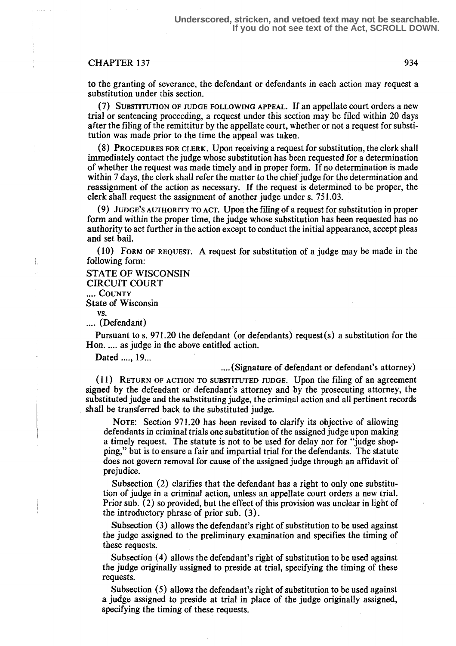## CHAPTER 137 934

to the granting of severance, the defendant or defendants in each action may request a substitution under this section.

SUBSTITUTION OF JUDGE FOLLOWING APPEAL. If an appellate court orders a new trial or sentencing proceeding, a request under this section may be filed within 20 days after the filing of the remittitur by the appellate court, whether or not a request for substitution was made prior to the time the appeal was taken.

(8) PROCEDURES FOR CLERK. Upon receiving a request for substitution, the clerk shall immediately contact the judge whose substitution has been requested for a determination of whether the request was made timely and in proper form. If no determination is made within 7 days, the clerk shall refer the matter to the chief judge for the determination and reassignment of the action as necessary. If the request is determined to be proper, the clerk shall request the assignment of another judge under s. 751 .03.

(9) JUDGE'S AUTHORITY TO ACT. Upon the filing of a request for substitution in proper form and within the proper time, the judge whose substitution has been requested has no authority to act further in the action except to conduct the initial appearance, accept pleas and set bail.

(10) FORM OF REQUEST. A request for substitution of a judge may be made in the following form:

STATE OF WISCONSIN CIRCUIT COURT .... COUNTY State of Wisconsin vs. .... (Defendant)

Pursuant to s. 971.20 the defendant (or defendants) request  $(s)$  a substitution for the Hon. .... as judge in the above entitled action.

Dated ...., 19...

.... (Signature of defendant or defendant's attorney)

11 ) RETURN OF ACTION TO SUBSTITUTED JUDGE. Upon the filing of an agreement signed by the defendant or defendant's attorney and by the prosecuting attorney, the substituted judge and the substituting judge, the criminal action and all pertinent records shall be transferred back to the substituted judge.

NOTE: Section 971.20 has been revised to clarify its objective of allowing defendants in criminal trials one substitution of the assigned judge upon making a timely request. The statute is not to be used for delay nor for "judge shopping," but is to ensure a fair and impartial trial for the defendants. The statute does not govern removal for cause of the assigned judge through an affidavit of prejudice.

Subsection (2) clarifies that the defendant has a right to only one substitution of judge in a criminal action, unless an appellate court orders a new trial . Prior sub.  $(2)$  so provided, but the effect of this provision was unclear in light of the introductory phrase of prior sub. (3) .

Subsection (3) allows the defendant's right of substitution to be used against the judge assigned to the preliminary examination and specifies the timing of these requests.

Subsection (4) allows the defendant's right of substitution to be used against the judge originally assigned to preside at trial, specifying the timing of these requests.

Subsection (5) allows the defendant's right of substitution to be used against a judge assigned to preside at trial in place of the judge originally assigned, specifying the timing of these requests.